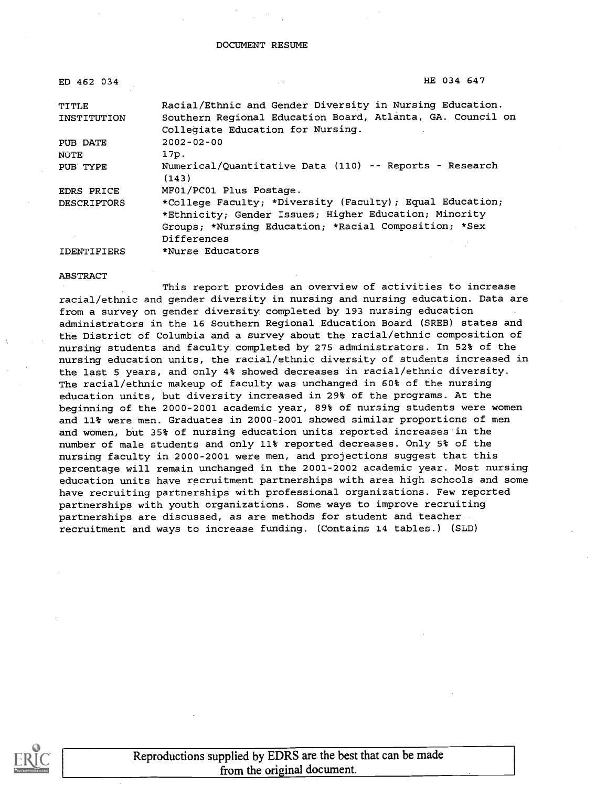| ED 462 034         | HE 034 647                                                       |
|--------------------|------------------------------------------------------------------|
| TITLE              | Racial/Ethnic and Gender Diversity in Nursing Education.         |
| INSTITUTION        | Southern Regional Education Board, Atlanta, GA. Council on       |
|                    | Collegiate Education for Nursing.                                |
| PUB DATE           | $2002 - 02 - 00$                                                 |
| NOTE               | 17p.                                                             |
| PUB TYPE           | Numerical/Quantitative Data (110) -- Reports - Research<br>(143) |
| <b>EDRS PRICE</b>  | MF01/PC01 Plus Postage.                                          |
| <b>DESCRIPTORS</b> | *College Faculty; *Diversity (Faculty); Equal Education;         |
|                    | *Ethnicity; Gender Issues; Higher Education; Minority            |
|                    | Groups; *Nursing Education; *Racial Composition; *Sex            |
|                    | Differences                                                      |
| <b>IDENTIFIERS</b> | *Nurse Educators                                                 |

#### ABSTRACT

This report provides an overview of activities to increase racial/ethnic and gender diversity in nursing and nursing education. Data are from a survey on gender diversity completed by 193 nursing education administrators in the 16 Southern Regional Education Board (SREB) states and the District of Columbia and a survey about the racial/ethnic composition of nursing students and faculty completed by 275 administrators. In 52% of the nursing education units, the racial/ethnic diversity of students increased in the last 5 years, and only 4% showed decreases in racial/ethnic diversity. The racial/ethnic makeup of faculty was unchanged in 60% of the nursing education units, but diversity increased in 29% of the programs. At the beginning of the 2000-2001 academic year, 89% of nursing students were women and 11% were men. Graduates in 2000-2001 showed similar proportions of men and women, but 35% of nursing education units reported increases in the number of male students and only 11% reported decreases. Only 5% of the nursing faculty in 2000-2001 were men, and projections suggest that this percentage will remain unchanged in the 2001-2002 academic year. Most nursing education units have recruitment partnerships with area high schools and some have recruiting partnerships with professional organizations. Few reported partnerships with youth organizations. Some ways to improve recruiting partnerships are discussed, as are methods for student and teacher recruitment and ways to increase funding. (Contains 14 tables.) (SLD)



Reproductions supplied by EDRS are the best that can be made from the original document.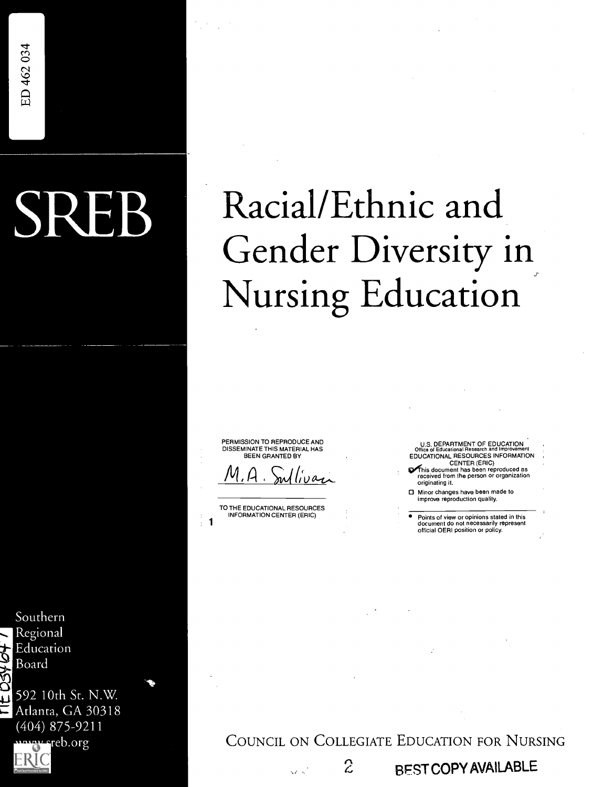# SREB Racial/Ethnic and Gender Diversity in Nursing Education

PERMISSION TO REPRODUCE AND DISSEMINATE THIS MATERIAL HAS BEEN GRANTED BY

<u>M,A.S</u>

TO THE EDUCATIONAL RESOURCES INFORMATION CENTER (ERIC) 1

Ō.

U.S. DEPARTMENT OF EDUCATION Office of Educational Research and Improvement EDUCATIONAL RESOURCES INFORMATION

- CENTER (ERIC)<br>This document has been reproduced as<br>received from the person or organization originating it.
- 0 Minor changes have been made to improve reproduction quality.
- Points of view or opinions stated in this document do not necessarily represent official OERI position or policy.

Southern Regional Education Board

 $\frac{3}{1}$  592 10th St. N.W.

Atlanta, GA 30318 (404) 875-9211 www.sreb.org



2 BEST COPY AVAILABLE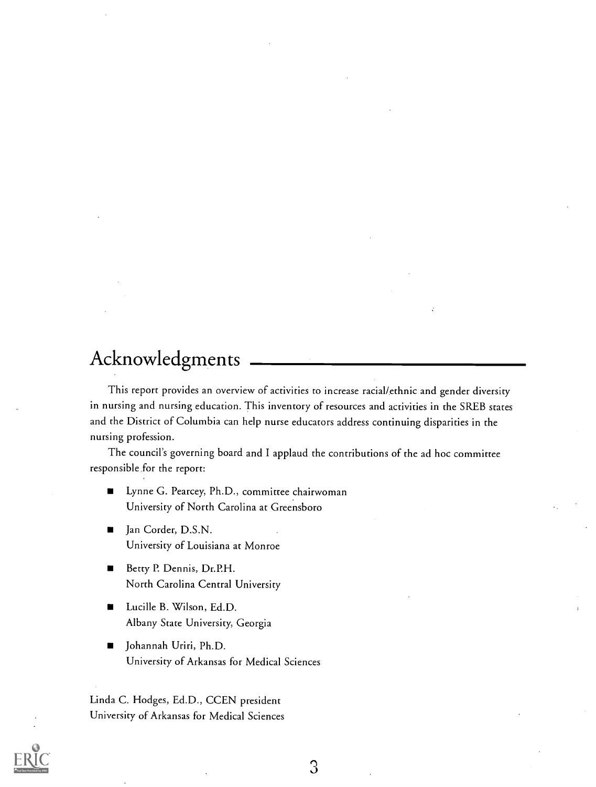## Acknowledgments

This report provides an overview of activities to increase racial/ethnic and gender diversity in nursing and nursing education. This inventory of resources and activities in the SREB states and the District of Columbia can help nurse educators address continuing disparities in the nursing profession.

The council's governing board and I applaud the contributions of the ad hoc committee responsible,for the report:

- Lynne G. Pearcey, Ph.D., committee chairwoman  $\blacksquare$ University of North Carolina at Greensboro
- Jan Corder, D.S.N.  $\blacksquare$ University of Louisiana at Monroe
- Betty P. Dennis, Dr.P.H.  $\blacksquare$ North Carolina Central University
- Lucille B. Wilson, Ed.D.  $\blacksquare$ Albany State University, Georgia
- Johannah Uriri, Ph.D.  $\blacksquare$ University of Arkansas for Medical Sciences

Linda C. Hodges, Ed.D., CCEN president University of Arkansas for Medical Sciences



 $\Im$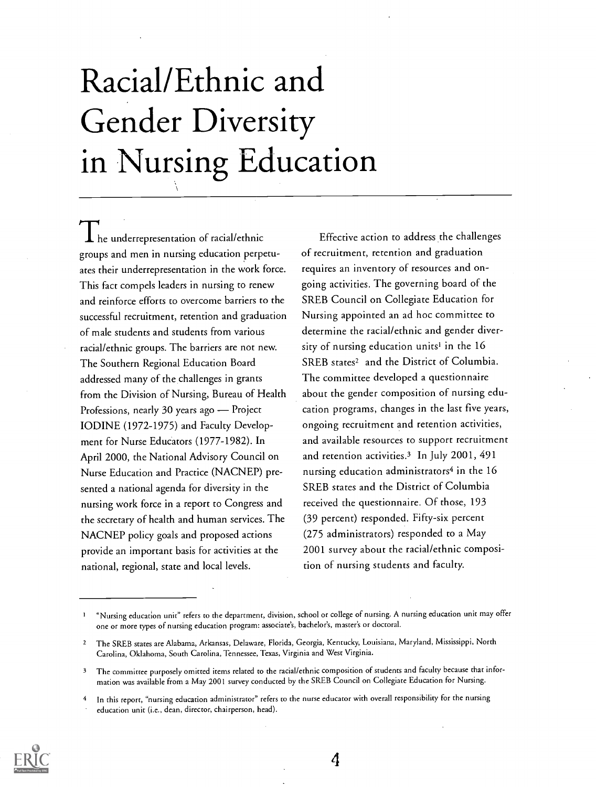## Racial/Ethnic and Gender Diversity in Nursing Education

 $\bm{1}$  he underrepresentation of racial/ethnic groups and men in nursing education perpetuates their underrepresentation in the work force. This fact compels leaders in nursing to renew and reinforce efforts to overcome barriers to the successful recruitment, retention and graduation of male students and students from various racial/ethnic groups. The barriers are not new. The Southern Regional Education Board addressed many of the challenges in grants from the Division of Nursing, Bureau of Health Professions, nearly 30 years ago - Project IODINE (1972-1975) and Faculty Development for Nurse Educators (1977-1982). In April 2000, the National Advisory Council on Nurse Education and Practice (NACNEP) presented a national agenda for diversity in the nursing work force in a report to Congress and the secretary of health and human services. The NACNEP policy goals and proposed actions provide an important basis for activities at the national, regional, state and local levels.

Effective action to address the challenges of recruitment, retention and graduation requires an inventory of resources and ongoing activities. The governing board of the SREB Council on Collegiate Education for Nursing appointed an ad hoc committee to determine the racial/ethnic and gender diversity of nursing education units<sup>1</sup> in the 16 SREB states<sup>2</sup> and the District of Columbia. The committee developed a questionnaire about the gender composition of nursing education programs, changes in the last five years, ongoing recruitment and retention activities, and available resources to support recruitment and retention activities.3 In July 2001, 491 nursing education administrators<sup>4</sup> in the 16 SREB states and the District of Columbia received the questionnaire. Of those, 193 (39 percent) responded. Fifty-six percent (275 administrators) responded to a May 2001 survey about the racial/ethnic composition of nursing students and faculty.



<sup>&</sup>quot;Nursing education unit" refers to the department, division, school or college of nursing. A nursing education unit may offer one or more types of nursing education program: associate's, bachelor's, master's or doctoral.

<sup>2</sup> The SREB states are Alabama, Arkansas, Delaware, Florida, Georgia, Kentucky, Louisiana, Maryland, Mississippi, North Carolina, Oklahoma, South Carolina, Tennessee, Texas, Virginia and West Virginia.

<sup>&</sup>lt;sup>3</sup> The committee purposely omitted items related to the racial/ethnic composition of students and faculty because that information was available from a May 2001 survey conducted by the SREB Council on Collegiate Education for Nursing.

<sup>4</sup> In this report, "nursing education administrator" refers to the nurse educator with overall responsibility for the nursing education unit (i.e., dean, director, chairperson, head).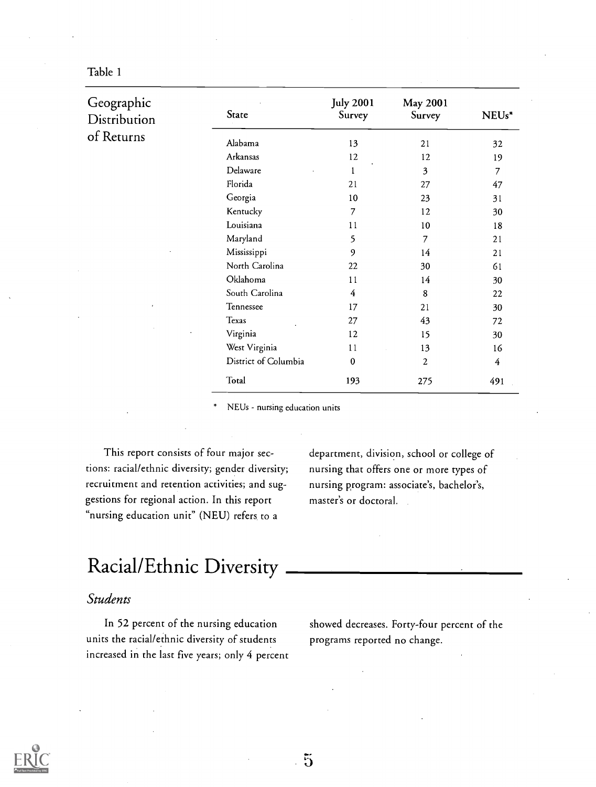| Geographic<br>Distribution | State                | <b>July 2001</b><br>Survey | May 2001<br>Survey | NEUs* |
|----------------------------|----------------------|----------------------------|--------------------|-------|
| of Returns                 | Alabama              | 13                         | 21                 | 32    |
|                            | Arkansas             | 12                         | 12                 | 19    |
|                            | Delaware             | 1                          | 3                  | 7     |
|                            | Florida              | 21                         | 27                 | 47    |
|                            | Georgia              | 10                         | 23                 | 31    |
|                            | Kentucky             | 7                          | 12                 | 30    |
|                            | Louisiana            | 11                         | 10                 | 18    |
|                            | Maryland             | 5                          | 7                  | 21    |
|                            | Mississippi          | 9                          | 14                 | 21    |
|                            | North Carolina       | 22                         | 30                 | 61    |
|                            | Oklahoma             | 11                         | 14                 | 30    |
|                            | South Carolina       | 4                          | 8                  | 22    |
|                            | Tennessee            | 17                         | 21                 | 30    |
|                            | Texas                | 27                         | 43                 | 72    |
|                            | Virginia             | 12                         | 15                 | 30    |
|                            | West Virginia        | 11                         | 13                 | 16    |
|                            | District of Columbia | 0                          | 2                  | 4     |
|                            | Total                | 193                        | 275                | 491   |

NEUs - nursing education units

This report consists of four major sections: racial/ethnic diversity; gender diversity; recruitment and retention activities; and suggestions for regional action. In this report "nursing education unit" (NEU) refers to a

department, division, school or college of nursing that offers one or more types of nursing program: associate's, bachelor's, master's or doctoral.

## Racial/Ethnic Diversity

## Students

In 52 percent of the nursing education units the racial/ethnic diversity of students increased in the last five years; only 4 percent showed decreases. Forty-four percent of the programs reported no change.

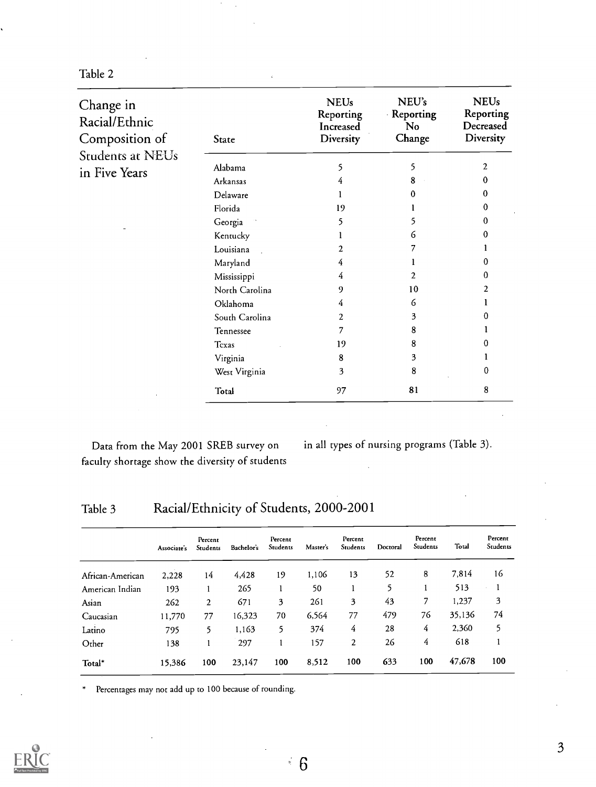| Change in<br>Racial/Ethnic<br>Composition of | <b>State</b>   | <b>NEUs</b><br>Reporting<br>Increased<br><b>Diversity</b> | NEU's<br>Reporting<br><b>No</b><br>Change | <b>NEUs</b><br>Reporting<br>Decreased<br>Diversity |
|----------------------------------------------|----------------|-----------------------------------------------------------|-------------------------------------------|----------------------------------------------------|
| Students at NEUs                             |                |                                                           |                                           |                                                    |
| in Five Years                                | Alabama        | 5                                                         | 5                                         | $\overline{2}$                                     |
|                                              | Arkansas       | 4                                                         | 8                                         |                                                    |
|                                              | Delaware       |                                                           | 0                                         | 0                                                  |
|                                              | Florida        | 19                                                        |                                           |                                                    |
|                                              | Georgia        | 5                                                         |                                           |                                                    |
|                                              | Kentucky       |                                                           | 6                                         |                                                    |
|                                              | Louisiana      | 2                                                         |                                           |                                                    |
|                                              | Maryland       | 4                                                         |                                           |                                                    |
|                                              | Mississippi    | 4                                                         | 2                                         |                                                    |
|                                              | North Carolina | 9                                                         | 10                                        |                                                    |
|                                              | Oklahoma       | 4                                                         | 6                                         |                                                    |
|                                              | South Carolina | 2                                                         | 3                                         |                                                    |
|                                              | Tennessee      | 7                                                         | 8                                         |                                                    |
|                                              | Texas          | 19                                                        | 8                                         |                                                    |
|                                              | Virginia       | 8                                                         | 3                                         |                                                    |
|                                              | West Virginia  | 3                                                         | 8                                         | 0                                                  |
|                                              | Total          | 97                                                        | 81                                        | 8                                                  |

faculty shortage show the diversity of students

Data from the May 2001 SREB survey on in all types of nursing programs (Table 3).

## Table 3 Racial/Ethnicity of Students, 2000-2001

|                  | Associate's | Percent<br>Students | Bachelor's | Percent<br>Students | Master's | Percent<br>Students | Doctoral | Percent<br>Students | Total  | Percent<br>Students |
|------------------|-------------|---------------------|------------|---------------------|----------|---------------------|----------|---------------------|--------|---------------------|
| African-American | 2,228       | 14                  | 4.428      | 19                  | 1,106    | 13                  | 52       | 8                   | 7,814  | 16                  |
| American Indian  | 193         |                     | 265        |                     | 50       |                     | 5        |                     | 513    |                     |
| Asian            | 262         | $\overline{c}$      | 671        | 3                   | 261      | 3                   | 43       | 7                   | 1,237  | 3                   |
| Caucasian        | 11,770      | 77                  | 16,323     | 70                  | 6,564    | 77                  | 479      | 76                  | 35,136 | 74                  |
| Latino           | 795         | 5.                  | 1,163      | 5                   | 374      | 4                   | 28       | 4                   | 2,360  | 5                   |
| Other            | 138         |                     | 297        |                     | 157      | $\overline{2}$      | 26       | 4                   | 618    |                     |
| Total*           | 15,386      | 100                 | 23,147     | 100                 | 8,512    | 100                 | 633      | 100                 | 47,678 | 100                 |

 $\frac{1}{2}$  6

\* Percentages may not add up to 100 because of rounding.

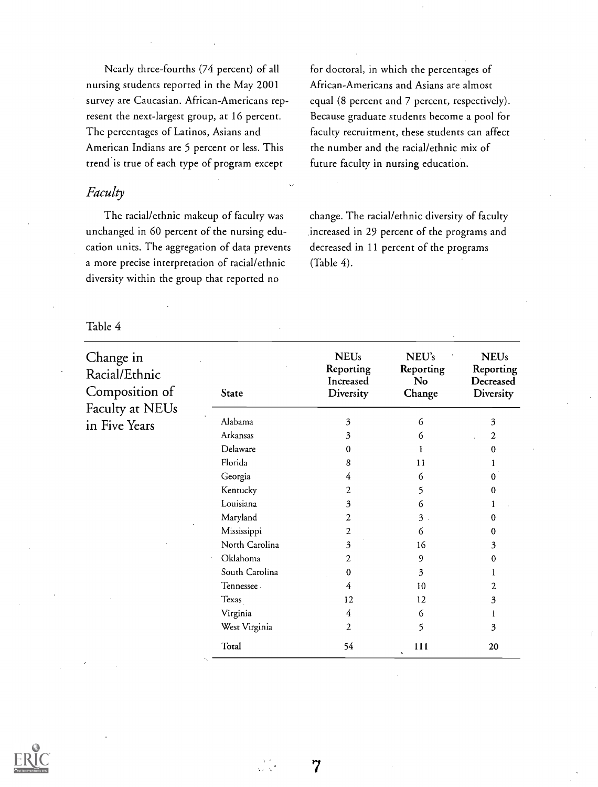Nearly three-fourths (74 percent) of all nursing students reported in the May 2001 survey are Caucasian. African-Americans represent the next-largest group, at 16 percent. The percentages of Latinos, Asians and American Indians are 5 percent or less. This trend is true of each type of program except

### Faculty

The racial/ethnic makeup of faculty was unchanged in 60 percent of the nursing education units. The aggregation of data prevents a more precise interpretation of racial/ethnic diversity within the group that reported no

for doctoral, in which the percentages of African-Americans and Asians are almost equal (8 percent and 7 percent, respectively). Because graduate students become a pool for faculty recruitment, these students can affect the number and the racial/ethnic mix of future faculty in nursing education.

change. The racial/ethnic diversity of faculty increased in 29 percent of the programs and decreased in 11 percent of the programs (Table 4).

| Change in<br>Racial/Ethnic |                | <b>NEUs</b><br>Reporting<br>Increased | NEU's<br>Reporting<br>No | <b>NEUs</b><br>Reporting<br>Decreased |
|----------------------------|----------------|---------------------------------------|--------------------------|---------------------------------------|
| Composition of             | State          | Diversity                             | Change                   | Diversity                             |
| Faculty at NEUs            |                |                                       |                          |                                       |
| in Five Years              | Alabama        | 3                                     | 6                        | 3                                     |
|                            | Arkansas       | 3                                     | 6                        | 2                                     |
|                            | Delaware       | 0                                     |                          | 0                                     |
|                            | Florida        | 8                                     | 11                       |                                       |
|                            | Georgia        | 4                                     | 6                        | 0                                     |
|                            | Kentucky       | 2                                     | 5                        | 0                                     |
|                            | Louisiana      | 3                                     | 6                        |                                       |
|                            | Maryland       | 2                                     | $3$ .                    | 0                                     |
|                            | Mississippi    | 2                                     | 6                        | 0                                     |
|                            | North Carolina | 3                                     | 16                       | 3                                     |
|                            | Oklahoma       | 2                                     | 9                        | 0                                     |
|                            | South Carolina | $\Omega$                              | 3                        |                                       |
|                            | Tennessee.     | 4                                     | 10                       | 2                                     |
|                            | Texas          | 12                                    | 12                       | 3                                     |
|                            | Virginia       | 4                                     | 6                        |                                       |
|                            | West Virginia  | 2                                     | 5                        | 3                                     |
|                            | Total          | 54                                    | 111<br>$\cdot$           | 20                                    |

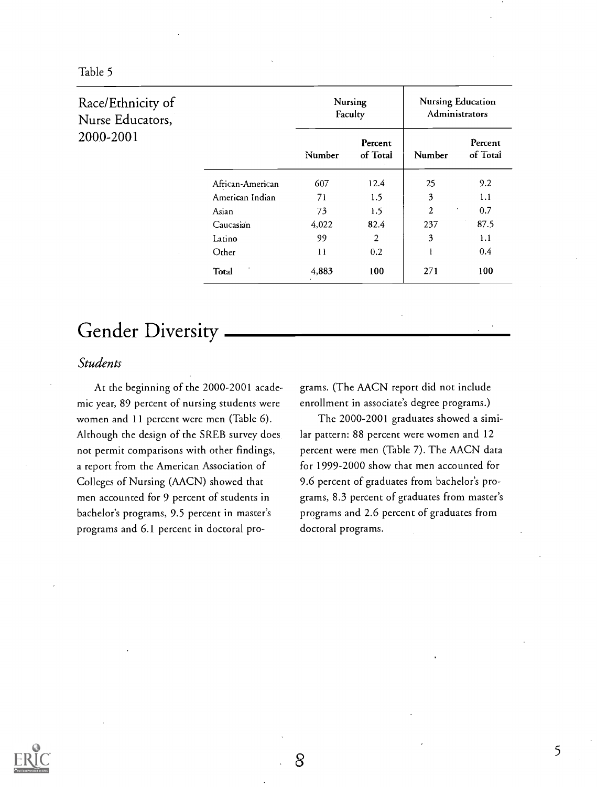| Table 5 |  |  |
|---------|--|--|
|---------|--|--|

| Race/Ethnicity of<br>Nurse Educators, |                  | Nursing<br>Faculty |                     | <b>Nursing Education</b><br>Administrators |                     |
|---------------------------------------|------------------|--------------------|---------------------|--------------------------------------------|---------------------|
| 2000-2001                             |                  | Number             | Percent<br>of Total | Number                                     | Percent<br>of Total |
|                                       | African-American | 607                | 12.4                | 25                                         | 9.2                 |
|                                       | American Indian  | 71                 | 1.5                 | 3                                          | 1.1                 |
|                                       | Asian            | 73                 | 1.5                 | $\overline{c}$<br>$\bullet$                | 0.7                 |
|                                       | Caucasian        | 4,022              | 82.4                | 237                                        | 87.5                |
|                                       | Latino           | 99                 | 2                   | 3                                          | 1.1                 |
|                                       | Other            | 11                 | 0.2                 | 1                                          | 0.4                 |
|                                       | Total            | 4,883              | 100                 | 271                                        | 100                 |

## Gender Diversity

### Students

At the beginning of the 2000-2001 academic year, 89 percent of nursing students were women and 11 percent were men (Table 6). Although the design of the SREB survey does not permit comparisons with other findings, a report from the American Association of Colleges of Nursing (AACN) showed that men accounted for 9 percent of students in bachelor's programs, 9.5 percent in master's programs and 6.1 percent in doctoral programs. (The AACN report did not include enrollment in associate's degree programs.)

The 2000-2001 graduates showed a similar pattern: 88 percent were women and 12 percent were men (Table 7). The AACN data for 1999-2000 show that men accounted for 9.6 percent of graduates from bachelor's programs, 8.3 percent of graduates from master's programs and 2.6 percent of graduates from doctoral programs.



8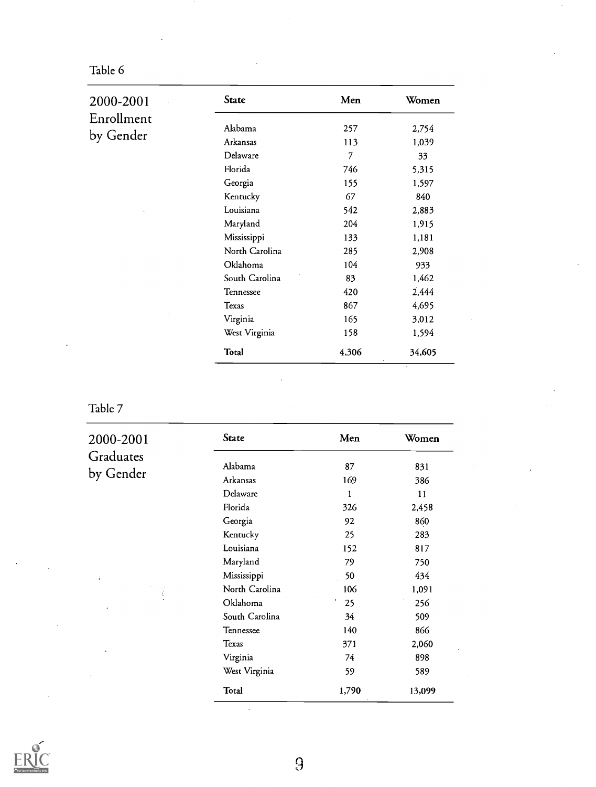| 2000-2001  | State          | Men   | Women  |
|------------|----------------|-------|--------|
| Enrollment | Alabama        |       |        |
|            |                | 257   | 2,754  |
|            | Arkansas       | 113   | 1,039  |
|            | Delaware       | 7     | 33     |
|            | Florida        | 746   | 5,315  |
|            | Georgia        | 155   | 1,597  |
| by Gender  | Kentucky       | 67    | 840    |
|            | Louisiana      | 542   | 2,883  |
|            | Maryland       | 204   | 1,915  |
|            | Mississippi    | 133   | 1,181  |
|            | North Carolina | 285   | 2,908  |
|            | Oklahoma       | 104   | 933    |
|            | South Carolina | 83    | 1,462  |
|            | Tennessee      | 420   | 2,444  |
|            | Texas          | 867   | 4,695  |
|            | Virginia       | 165   | 3,012  |
|            | West Virginia  | 158   | 1,594  |
|            | Total          | 4,306 | 34,605 |

 $\overline{1}$ 

Table 7

 $2000 - 2001$ Graduates by Gender

Ŧ

| State          | Men      | Women  |
|----------------|----------|--------|
| Alabama        | 87       | 831    |
| Arkansas       | 169      | 386    |
| Delaware       | 1        | 11     |
| Florida        | 326      | 2,458  |
| Georgia        | 92       | 860    |
| Kentucky       | 25       | 283    |
| Louisiana      | 152      | 817    |
| Maryland       | 79       | 750    |
| Mississippi    | 50       | 434    |
| North Carolina | 106      | 1,091  |
| Oklahoma       | ŧ.<br>25 | 256    |
| South Carolina | 34       | 509    |
| Tennessee      | 140      | 866    |
| Texas          | 371      | 2,060  |
| Virginia       | 74       | 898    |
| West Virginia  | 59       | 589    |
| Total          | 1,790    | 13,099 |

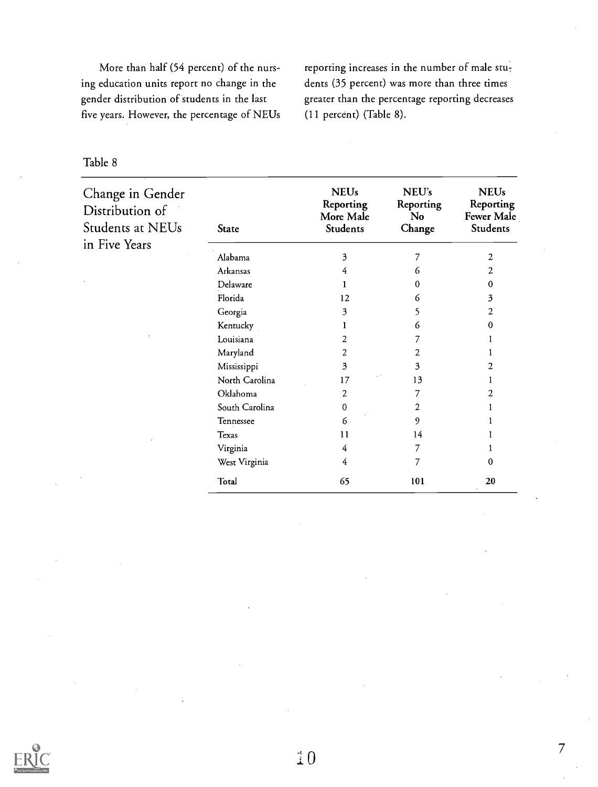More than half (54 percent) of the nursing education units report no change in the gender distribution of students in the last five years. However, the percentage of NEUs reporting increases in the number of male students (35 percent) was more than three times greater than the percentage reporting decreases (11 percent) (Table 8).

| Change in Gender<br>Distribution of<br><b>Students at NEUs</b> | State          | <b>NEUs</b><br>Reporting<br>More Male<br>Students | NEU's<br>Reporting<br>No.<br>Change | <b>NEUs</b><br>Reporting<br><b>Fewer Male</b><br>Students |
|----------------------------------------------------------------|----------------|---------------------------------------------------|-------------------------------------|-----------------------------------------------------------|
| in Five Years                                                  |                |                                                   |                                     |                                                           |
|                                                                | Alabama        | 3                                                 | 7                                   | 2                                                         |
|                                                                | Arkansas       | 4                                                 | 6                                   | 2                                                         |
|                                                                | Delaware       |                                                   | 0                                   | 0                                                         |
|                                                                | Florida        | 12                                                | 6                                   | 3                                                         |
|                                                                | Georgia        | 3                                                 | 5                                   | 2                                                         |
|                                                                | Kentucky       |                                                   | 6                                   | 0                                                         |
|                                                                | Louisiana      | 2                                                 |                                     |                                                           |
|                                                                | Maryland       | 2                                                 | 2                                   |                                                           |
|                                                                | Mississippi    | 3                                                 | 3                                   | 2                                                         |
|                                                                | North Carolina | 17                                                | 13                                  |                                                           |
|                                                                | Oklahoma       | 2                                                 | 7                                   | 2                                                         |
|                                                                | South Carolina | 0                                                 | 2                                   |                                                           |
|                                                                | Tennessee      | 6                                                 | 9                                   |                                                           |
|                                                                | Texas          | 11                                                | 14                                  |                                                           |
|                                                                | Virginia       | 4                                                 | 7                                   |                                                           |
|                                                                | West Virginia  | 4                                                 | 7                                   | 0                                                         |
|                                                                | Total          | 65                                                | 101                                 | 20                                                        |

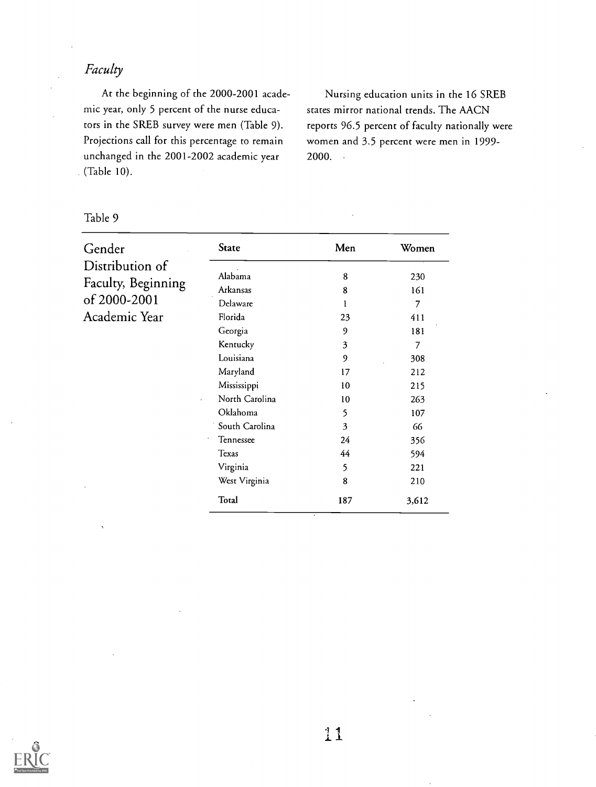## Faculty

At the beginning of the 2000-2001 academic year, only 5 percent of the nurse educators in the SREB survey were men (Table 9). Projections call for this percentage to remain unchanged in the 2001-2002 academic year (Table 10).

Nursing education units in the 16 SREB states mirror national trends. The AACN reports 96.5 percent of faculty nationally were women and 3.5 percent were men in 1999- 2000.

| Gender                             | <b>State</b>                     | Men | Women |
|------------------------------------|----------------------------------|-----|-------|
| Distribution of                    |                                  |     |       |
|                                    | Alabama                          | 8   | 230   |
|                                    | Arkansas                         | 8   | 161   |
|                                    | Delaware                         | 1   | 7     |
| Academic Year                      | Florida                          | 23  | 411   |
| Faculty, Beginning<br>of 2000-2001 | Georgia                          | 9   | 181   |
|                                    | Kentucky                         | 3   | 7     |
|                                    | Louisiana                        | 9   | 308   |
|                                    | Maryland                         | 17  | 212   |
|                                    | Mississippi                      | 10  | 215   |
|                                    | North Carolina<br>$\blacksquare$ | 10  | 263   |
|                                    | Oklahoma                         | 5   | 107   |
|                                    | South Carolina                   | 3   | 66    |
|                                    | Tennessee                        | 24  | 356   |
|                                    | Texas                            | 44  | 594   |
|                                    | Virginia                         | 5   | 221   |
|                                    | West Virginia                    | 8   | 210   |
|                                    | Total                            | 187 | 3,612 |

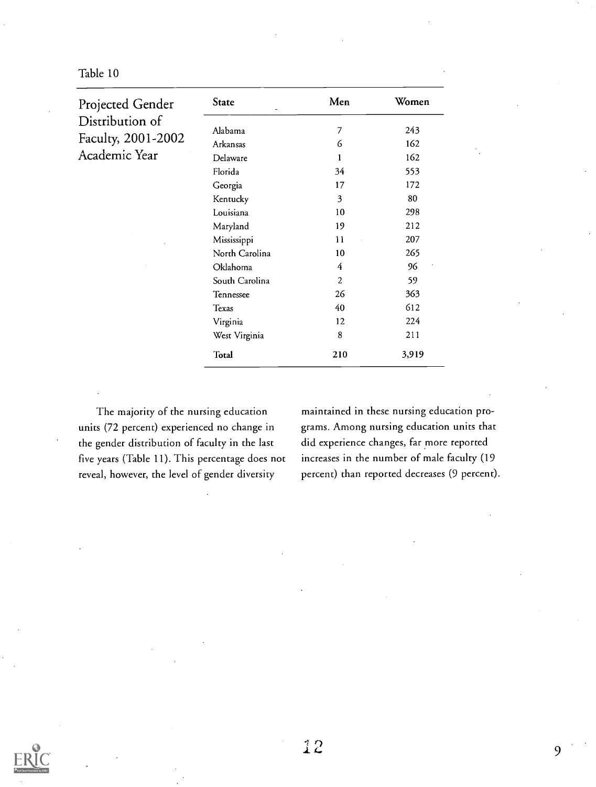Projected Gender State Men Women Distribution of Faculty, 2001-2002 Alabama Arkansas 7 6 243 162 Academic Year Delaware 1 162 Florida 34 553 Georgia 17 172 Kentucky 3 80 Louisiana 10 298 Maryland 19 212 Mississippi 11 207 North Carolina 10 265 Oklahoma 4 96 South Carolina 2 59 Tennessee 26 363  $T_{\text{exas}}$  40 612 Virginia 12 224 West Virginia 8 211 Total 210 3,919

The majority of the nursing education units (72 percent) experienced no change in the gender distribution of faculty in the last five years (Table 11). This percentage does not reveal, however, the level of gender diversity

maintained in these nursing education programs. Among nursing education units that did experience changes, far more reported increases in the number of male faculty (19 percent) than reported decreases (9 percent).



9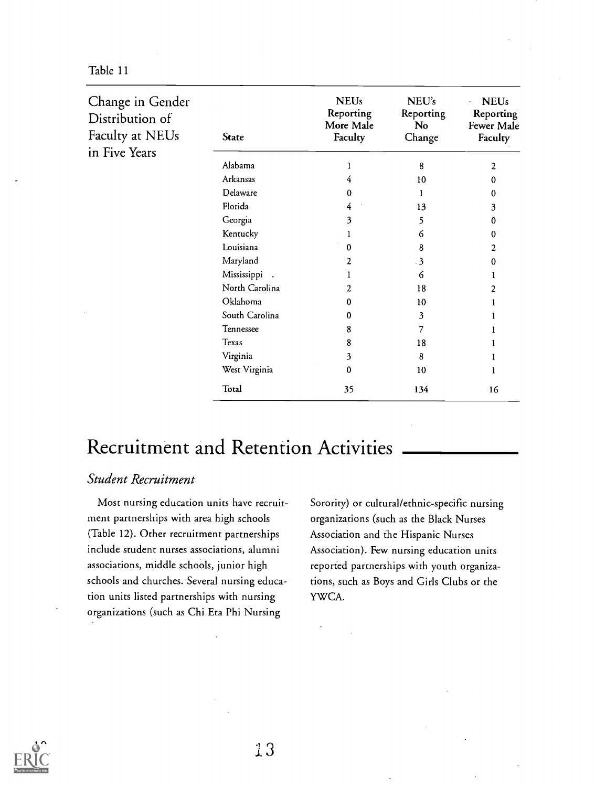| Table 11 |  |
|----------|--|
|----------|--|

| Change in Gender<br>Distribution of<br>Faculty at NEUs<br>in Five Years | State          | <b>NEUs</b><br>Reporting<br>More Male<br>Faculty | NEU's<br>Reporting<br>No.<br>Change | <b>NEUs</b><br>Reporting<br>Fewer Male<br>Faculty |
|-------------------------------------------------------------------------|----------------|--------------------------------------------------|-------------------------------------|---------------------------------------------------|
|                                                                         | Alabama        |                                                  | 8                                   | 2                                                 |
|                                                                         | Arkansas       | 4                                                | 10                                  | 0                                                 |
|                                                                         | Delaware       | 0                                                | 1                                   | 0                                                 |
|                                                                         | Florida        | 4                                                | 13                                  | 3                                                 |
|                                                                         | Georgia        | 3                                                | 5                                   | o                                                 |
|                                                                         | Kentucky       |                                                  | 6                                   | 0                                                 |
|                                                                         | Louisiana      | 0                                                | 8                                   | 2                                                 |
|                                                                         | Maryland       | 2                                                | $\overline{\mathbf{3}}$             |                                                   |
|                                                                         | Mississippi .  |                                                  | 6                                   |                                                   |
|                                                                         | North Carolina | 2                                                | 18                                  |                                                   |
|                                                                         | Oklahoma       | 0                                                | 10                                  |                                                   |
|                                                                         | South Carolina | 0                                                | 3                                   |                                                   |
|                                                                         | Tennessee      | 8                                                | 7                                   |                                                   |
|                                                                         | Texas          | 8                                                | 18                                  |                                                   |
|                                                                         | Virginia       | 3                                                | 8                                   |                                                   |
|                                                                         | West Virginia  | 0                                                | 10                                  |                                                   |
|                                                                         | Total          | 35                                               | 134                                 | 16                                                |

## Recruitment and Retention Activities

#### Student Recruitment

Most nursing education units have recruitment partnerships with area high schools (Table 12). Other recruitment partnerships include student nurses associations, alumni associations, middle schools, junior high schools and churches. Several nursing education units listed partnerships with nursing organizations (such as Chi Eta Phi Nursing

Sorority) or cultural/ethnic-specific nursing organizations (such as the Black Nurses Association and the Hispanic Nurses Association). Few nursing education units reported partnerships with youth organizations, such as Boys and Girls Clubs or the YWCA.

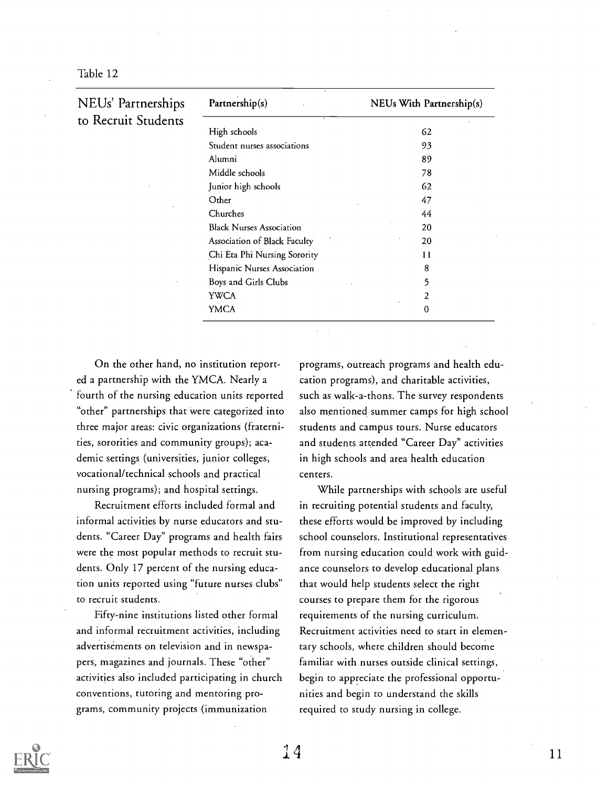Table 12

| NEUs' Partnerships  | Partnership(s)                  | NEUs With Partnership(s) |  |
|---------------------|---------------------------------|--------------------------|--|
| to Recruit Students | High schools                    | 62                       |  |
|                     | Student nurses associations     | 93                       |  |
|                     | Alumni                          | 89                       |  |
|                     |                                 |                          |  |
|                     | Middle schools                  | 78                       |  |
|                     | Junior high schools             | 62                       |  |
|                     | Other                           | 47                       |  |
|                     | Churches                        | 44                       |  |
|                     | <b>Black Nurses Association</b> | 20                       |  |
|                     | Association of Black Faculty    | 20                       |  |
|                     | Chi Eta Phi Nursing Sorority    | 11                       |  |
|                     | Hispanic Nurses Association     | 8                        |  |
|                     | Boys and Girls Clubs            | 5                        |  |
|                     | YWCA                            | 2                        |  |
|                     | <b>YMCA</b>                     | $\Omega$                 |  |

On the other hand, no institution reported a partnership with the YMCA. Nearly a fourth of the nursing education units reported "other" partnerships that were categorized into three major areas: civic organizations (fraternities, sororities and community groups); academic settings (universities, junior colleges, vocational/technical schools and practical nursing programs); and hospital settings.

Recruitment efforts included formal and informal activities by nurse educators and students. "Career Day" programs and health fairs were the most popular methods to recruit students. Only 17 percent of the nursing education units reported using "future nurses clubs" to recruit students.

Fifty-nine institutions listed other formal and informal recruitment activities, including advertisements on television and in newspapers, magazines and journals. These "other" activities also included participating in church conventions, tutoring and mentoring programs, community projects (immunization

programs, outreach programs and health education programs), and charitable activities, such as walk-a-thons. The survey respondents also mentioned summer camps for high school students and campus tours. Nurse educators and students attended "Career Day" activities in high schools and area health education centers.

While partnerships with schools are useful in recruiting potential students and faculty, these efforts would be improved by including school counselors. Institutional representatives from nursing education could work with guidance counselors to develop educational plans that would help students select the right courses to prepare them for the rigorous requirements of the nursing curriculum. Recruitment activities need to start in elementary schools, where children should become familiar with nurses outside clinical settings, begin to appreciate the professional opportunities and begin to understand the skills required to study nursing in college.

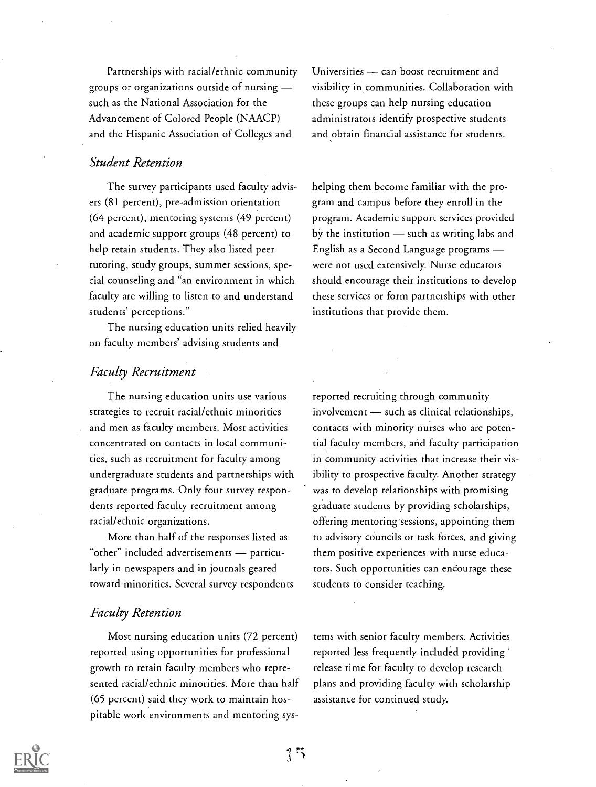Partnerships with racial/ethnic community groups or organizations outside of nursing such as the National Association for the Advancement of Colored People (NAACP) and the Hispanic Association of Colleges and

#### Student Retention

The survey participants used faculty advisers (81 percent), pre-admission orientation (64 percent), mentoring systems (49 percent) and academic support groups (48 percent) to help retain students. They also listed peer tutoring, study groups, summer sessions, special counseling and "an environment in which faculty are willing to listen to and understand students' perceptions."

The nursing education units relied heavily on faculty members' advising students and

## Universities - can boost recruitment and visibility in communities. Collaboration with these groups can help nursing education administrators identify prospective students and obtain financial assistance for students.

helping them become familiar with the program and campus before they enroll in the program. Academic support services provided by the institution  $-$  such as writing labs and English as a Second Language programs were not used extensively. Nurse educators should encourage their institutions to develop these services or form partnerships with other institutions that provide them.

#### Faculty Recruitment

The nursing education units use various strategies to recruit racial/ethnic minorities and men as faculty members. Most activities concentrated on contacts in local communities, such as recruitment for faculty among undergraduate students and partnerships with graduate programs. Only four survey respondents reported faculty recruitment among racial/ethnic organizations.

More than half of the responses listed as "other" included advertisements - particularly in newspapers and in journals geared toward minorities. Several survey respondents

#### Faculty Retention

Most nursing education units (72 percent) reported using opportunities for professional growth to retain faculty members who represented racial/ethnic minorities. More than half (65 percent) said they work to maintain hospitable work environments and mentoring sysreported recruiting through community  $involvement$  such as clinical relationships, contacts with minority nurses who are potential faculty members, and faculty participation in community activities that increase their visibility to prospective faculty. Another strategy was to develop relationships with promising graduate students by providing scholarships, offering mentoring sessions, appointing them to advisory councils or task forces, and giving them positive experiences with nurse educators. Such opportunities can encourage these students to consider teaching.

tems with senior faculty members. Activities reported less frequently included providing release time for faculty to develop research plans and providing faculty with scholarship assistance for continued study.

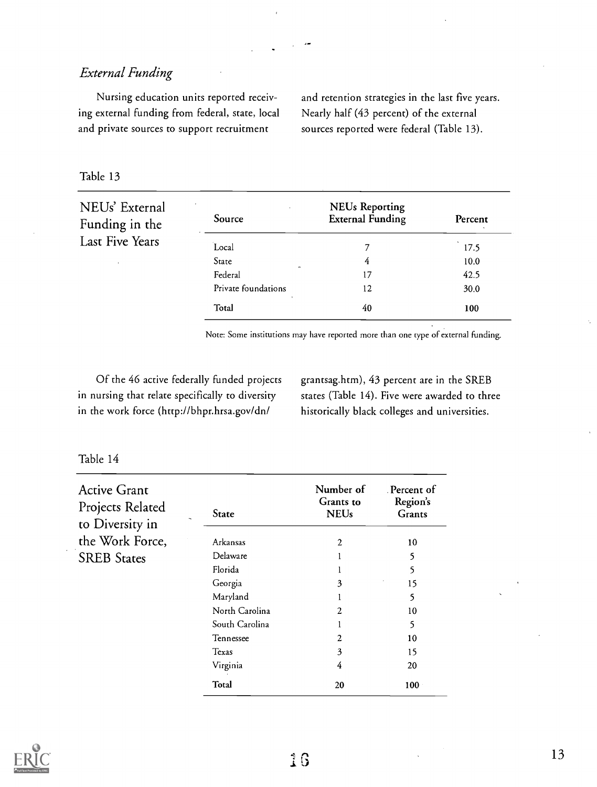## External Funding

Nursing education units reported receiving external funding from federal, state, local and private sources to support recruitment

and retention strategies in the last five years. Nearly half (43 percent) of the external sources reported were federal (Table 13).

#### Table 13

| NEUs' External<br>Funding in the | $\bullet$<br>Source | <b>NEUs Reporting</b><br><b>External Funding</b> | Percent |
|----------------------------------|---------------------|--------------------------------------------------|---------|
| Last Five Years                  | Local               |                                                  | 17.5    |
|                                  | State               | 4                                                | 10.0    |
|                                  | Federal             | 17                                               | 42.5    |
|                                  | Private foundations | 12                                               | 30.0    |
|                                  | Total               | 40                                               | 100     |

Note: Some institutions may have reported more than one type of external funding.

Of the 46 active federally funded projects in nursing that relate specifically to diversity in the work force (http://bhpr.hrsa.gov/dn/

grantsag.htm), 43 percent are in the SREB states (Table 14). Five were awarded to three historically black colleges and universities.

| Active Grant<br>Projects Related |                               | Number of<br>Grants to | Percent of<br>Region's |
|----------------------------------|-------------------------------|------------------------|------------------------|
| to Diversity in                  | State<br>$\ddot{\phantom{1}}$ | <b>NEUs</b>            | Grants                 |
| the Work Force,                  | Arkansas                      | $\overline{2}$         | 10                     |
| <b>SREB States</b>               | Delaware                      |                        | 5                      |
|                                  | Florida                       |                        | 5                      |
|                                  | Georgia                       | 3                      | 15                     |
|                                  | Maryland                      |                        | 5                      |
|                                  | North Carolina                | 2                      | 10                     |
|                                  | South Carolina                |                        | 5                      |
|                                  | Tennessee                     | 2                      | 10                     |
|                                  | Texas                         | 3                      | 15                     |
|                                  | Virginia                      | 4                      | 20                     |
|                                  | Total                         | 20                     | 100                    |

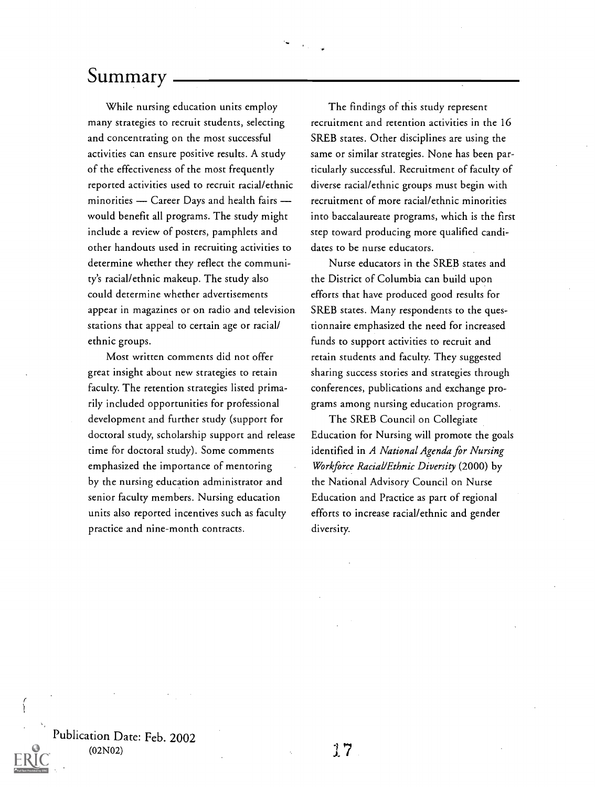## Summary

While nursing education units employ many strategies to recruit students, selecting and concentrating on the most successful activities can ensure positive results. A study of the effectiveness of the most frequently reported activities used to recruit racial/ethnic minorities - Career Days and health fairs would benefit all programs. The study might include a review of posters, pamphlets and other handouts used in recruiting activities to determine whether they reflect the community's racial/ethnic makeup. The study also could determine whether advertisements appear in magazines or on radio and television stations that appeal to certain age or racial/ ethnic groups.

Most written comments did not offer great insight about new strategies to retain faculty. The retention strategies listed primarily included opportunities for professional development and further study (support for doctoral study, scholarship support and release time for doctoral study). Some comments emphasized the importance of mentoring by the nursing education administrator and senior faculty members. Nursing education units also reported incentives such as faculty practice and nine-month contracts.

The findings of this study represent recruitment and retention activities in the 16 SREB states. Other disciplines are using the same or similar strategies. None has been particularly successful. Recruitment of faculty of diverse racial/ethnic groups must begin with recruitment of more racial/ethnic minorities into baccalaureate programs, which is the first step toward producing more qualified candidates to be nurse educators.

Nurse educators in the SREB states and the District of Columbia can build upon efforts that have produced good results for SREB states. Many respondents to the questionnaire emphasized the need for increased funds to support activities to recruit and retain students and faculty. They suggested sharing success stories and strategies through conferences, publications and exchange programs among nursing education programs.

The SREB Council on Collegiate Education for Nursing will promote the goals identified in A National Agenda for Nursing Workforce Racial/Ethnic Diversity (2000) by the National Advisory Council on Nurse Education and Practice as part of regional efforts to increase racial/ethnic and gender diversity.

Publication Date: Feb. 2002 (02NO2)